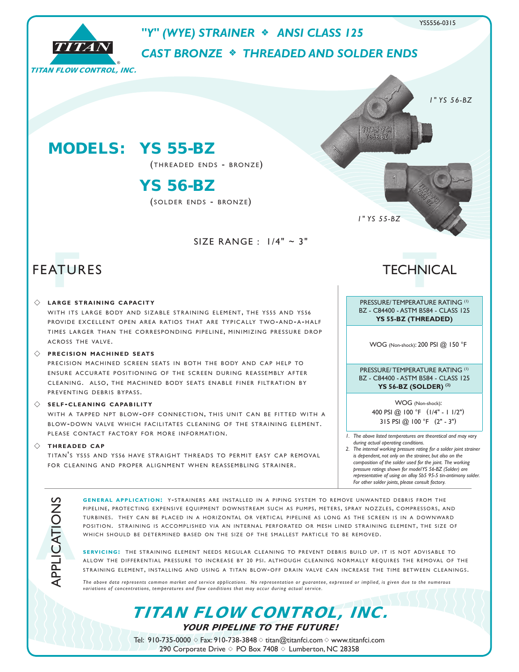

*The above data represents common market and service applications. No representation or guarantee, expressed or implied, is given due to the numerous variations of concentrations, temperatures and flow conditions that may occur during actual service.*

TITAN FLOW CONTROL, INC.

YOUR PIPELINE TO THE FUTURE!

Tel: 910-735-0000  $\diamond$  Fax: 910-738-3848  $\diamond$  titan@titanfci.com  $\diamond$  www.titanfci.com 290 Corporate Drive  $\diamond$  PO Box 7408  $\diamond$  Lumberton, NC 28358